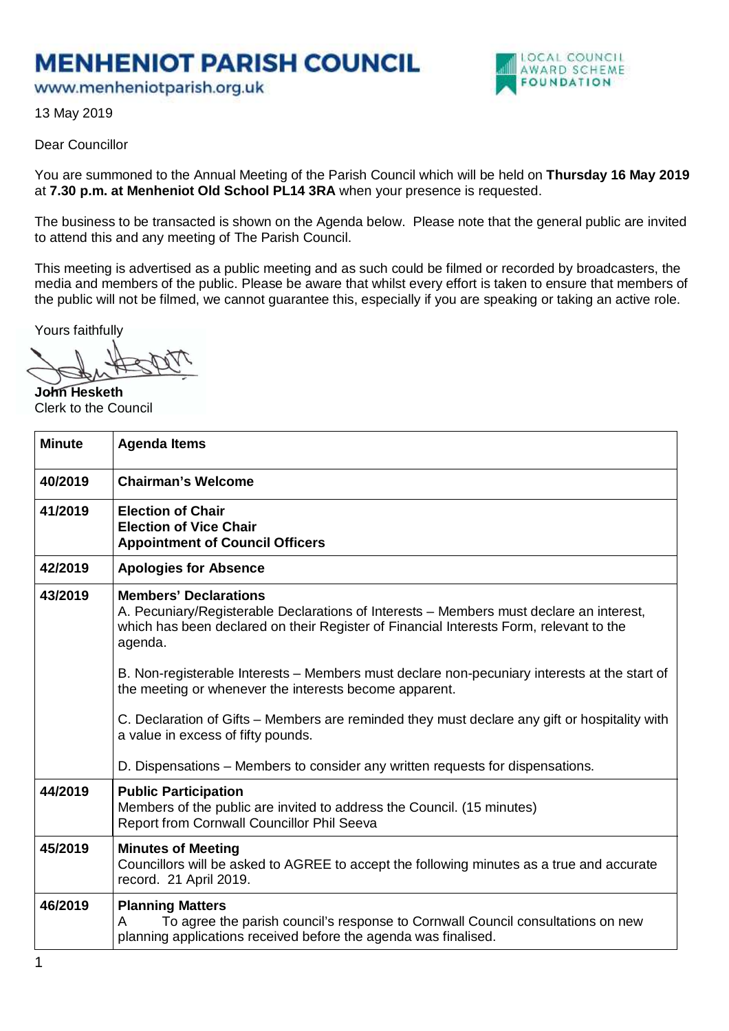## **MENHENIOT PARISH COUNCIL**

www.menheniotparish.org.uk



13 May 2019

## Dear Councillor

You are summoned to the Annual Meeting of the Parish Council which will be held on **Thursday 16 May 2019**  at **7.30 p.m. at Menheniot Old School PL14 3RA** when your presence is requested.

The business to be transacted is shown on the Agenda below. Please note that the general public are invited to attend this and any meeting of The Parish Council.

This meeting is advertised as a public meeting and as such could be filmed or recorded by broadcasters, the media and members of the public. Please be aware that whilst every effort is taken to ensure that members of the public will not be filmed, we cannot guarantee this, especially if you are speaking or taking an active role.

Yours faithfully

**John Hesketh**  Clerk to the Council

| <b>Minute</b> | <b>Agenda Items</b>                                                                                                                                                                                                          |
|---------------|------------------------------------------------------------------------------------------------------------------------------------------------------------------------------------------------------------------------------|
| 40/2019       | <b>Chairman's Welcome</b>                                                                                                                                                                                                    |
| 41/2019       | <b>Election of Chair</b><br><b>Election of Vice Chair</b><br><b>Appointment of Council Officers</b>                                                                                                                          |
| 42/2019       | <b>Apologies for Absence</b>                                                                                                                                                                                                 |
| 43/2019       | <b>Members' Declarations</b><br>A. Pecuniary/Registerable Declarations of Interests – Members must declare an interest,<br>which has been declared on their Register of Financial Interests Form, relevant to the<br>agenda. |
|               | B. Non-registerable Interests – Members must declare non-pecuniary interests at the start of<br>the meeting or whenever the interests become apparent.                                                                       |
|               | C. Declaration of Gifts - Members are reminded they must declare any gift or hospitality with<br>a value in excess of fifty pounds.                                                                                          |
|               | D. Dispensations – Members to consider any written requests for dispensations.                                                                                                                                               |
| 44/2019       | <b>Public Participation</b><br>Members of the public are invited to address the Council. (15 minutes)<br>Report from Cornwall Councillor Phil Seeva                                                                          |
| 45/2019       | <b>Minutes of Meeting</b><br>Councillors will be asked to AGREE to accept the following minutes as a true and accurate<br>record. 21 April 2019.                                                                             |
| 46/2019       | <b>Planning Matters</b><br>To agree the parish council's response to Cornwall Council consultations on new<br>A<br>planning applications received before the agenda was finalised.                                           |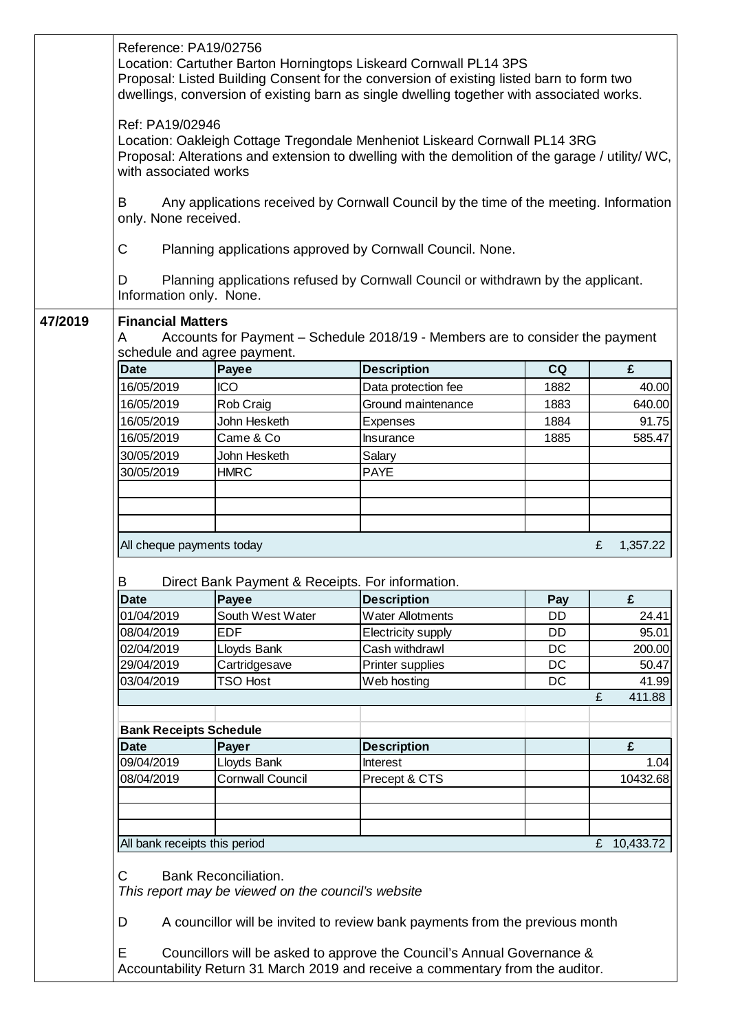|         | Reference: PA19/02756                                                                                                                                                                                                      |                                                  | Location: Cartuther Barton Horningtops Liskeard Cornwall PL14 3PS<br>Proposal: Listed Building Consent for the conversion of existing listed barn to form two<br>dwellings, conversion of existing barn as single dwelling together with associated works. |      |                      |  |  |
|---------|----------------------------------------------------------------------------------------------------------------------------------------------------------------------------------------------------------------------------|--------------------------------------------------|------------------------------------------------------------------------------------------------------------------------------------------------------------------------------------------------------------------------------------------------------------|------|----------------------|--|--|
|         | Ref: PA19/02946<br>Location: Oakleigh Cottage Tregondale Menheniot Liskeard Cornwall PL14 3RG<br>Proposal: Alterations and extension to dwelling with the demolition of the garage / utility/ WC,<br>with associated works |                                                  |                                                                                                                                                                                                                                                            |      |                      |  |  |
|         | Any applications received by Cornwall Council by the time of the meeting. Information<br>В<br>only. None received.                                                                                                         |                                                  |                                                                                                                                                                                                                                                            |      |                      |  |  |
|         | C<br>Planning applications approved by Cornwall Council. None.                                                                                                                                                             |                                                  |                                                                                                                                                                                                                                                            |      |                      |  |  |
|         | Planning applications refused by Cornwall Council or withdrawn by the applicant.<br>D<br>Information only. None.                                                                                                           |                                                  |                                                                                                                                                                                                                                                            |      |                      |  |  |
| 47/2019 | <b>Financial Matters</b><br>Accounts for Payment - Schedule 2018/19 - Members are to consider the payment<br>A<br>schedule and agree payment.                                                                              |                                                  |                                                                                                                                                                                                                                                            |      |                      |  |  |
|         | <b>Date</b>                                                                                                                                                                                                                | Payee                                            | <b>Description</b>                                                                                                                                                                                                                                         | CQ   | £                    |  |  |
|         | 16/05/2019                                                                                                                                                                                                                 | <b>ICO</b>                                       | Data protection fee                                                                                                                                                                                                                                        | 1882 | 40.00                |  |  |
|         | 16/05/2019                                                                                                                                                                                                                 | Rob Craig                                        | Ground maintenance                                                                                                                                                                                                                                         | 1883 | 640.00               |  |  |
|         | 16/05/2019                                                                                                                                                                                                                 | John Hesketh                                     | Expenses                                                                                                                                                                                                                                                   | 1884 | 91.75                |  |  |
|         | 16/05/2019                                                                                                                                                                                                                 | Came & Co                                        | Insurance                                                                                                                                                                                                                                                  | 1885 | 585.47               |  |  |
|         | 30/05/2019                                                                                                                                                                                                                 | John Hesketh                                     | Salary                                                                                                                                                                                                                                                     |      |                      |  |  |
|         | 30/05/2019                                                                                                                                                                                                                 | <b>HMRC</b>                                      | <b>PAYE</b>                                                                                                                                                                                                                                                |      |                      |  |  |
|         |                                                                                                                                                                                                                            |                                                  |                                                                                                                                                                                                                                                            |      |                      |  |  |
|         |                                                                                                                                                                                                                            |                                                  |                                                                                                                                                                                                                                                            |      |                      |  |  |
|         | All cheque payments today<br>£<br>1,357.22                                                                                                                                                                                 |                                                  |                                                                                                                                                                                                                                                            |      |                      |  |  |
|         | В                                                                                                                                                                                                                          | Direct Bank Payment & Receipts. For information. |                                                                                                                                                                                                                                                            |      |                      |  |  |
|         | <b>Date</b>                                                                                                                                                                                                                | Payee                                            | <b>Description</b>                                                                                                                                                                                                                                         | Pay  | £                    |  |  |
|         | 01/04/2019                                                                                                                                                                                                                 | South West Water                                 | <b>Water Allotments</b>                                                                                                                                                                                                                                    | DD   | 24.41                |  |  |
|         | 08/04/2019                                                                                                                                                                                                                 | <b>EDF</b>                                       | <b>Electricity supply</b>                                                                                                                                                                                                                                  | DD   | 95.01                |  |  |
|         | 02/04/2019                                                                                                                                                                                                                 | Lloyds Bank                                      | Cash withdrawl                                                                                                                                                                                                                                             | DC   | 200.00               |  |  |
|         | 29/04/2019                                                                                                                                                                                                                 | Cartridgesave                                    | Printer supplies                                                                                                                                                                                                                                           | DC   | 50.47                |  |  |
|         | 03/04/2019                                                                                                                                                                                                                 | <b>TSO Host</b>                                  | Web hosting                                                                                                                                                                                                                                                | DC   | 41.99<br>£<br>411.88 |  |  |
|         | <b>Bank Receipts Schedule</b>                                                                                                                                                                                              |                                                  |                                                                                                                                                                                                                                                            |      |                      |  |  |
|         | <b>Date</b>                                                                                                                                                                                                                | Payer                                            | <b>Description</b>                                                                                                                                                                                                                                         |      | £                    |  |  |
|         | 09/04/2019                                                                                                                                                                                                                 | Lloyds Bank                                      | Interest                                                                                                                                                                                                                                                   |      | 1.04                 |  |  |
|         | 08/04/2019                                                                                                                                                                                                                 | <b>Cornwall Council</b>                          | Precept & CTS                                                                                                                                                                                                                                              |      | 10432.68             |  |  |
|         |                                                                                                                                                                                                                            |                                                  |                                                                                                                                                                                                                                                            |      |                      |  |  |
|         | All bank receipts this period                                                                                                                                                                                              |                                                  |                                                                                                                                                                                                                                                            |      | 10,433.72<br>£       |  |  |
|         | С<br><b>Bank Reconciliation.</b><br>This report may be viewed on the council's website                                                                                                                                     |                                                  |                                                                                                                                                                                                                                                            |      |                      |  |  |
|         | A councillor will be invited to review bank payments from the previous month<br>D                                                                                                                                          |                                                  |                                                                                                                                                                                                                                                            |      |                      |  |  |
|         | E<br>Councillors will be asked to approve the Council's Annual Governance &<br>Accountability Return 31 March 2019 and receive a commentary from the auditor.                                                              |                                                  |                                                                                                                                                                                                                                                            |      |                      |  |  |